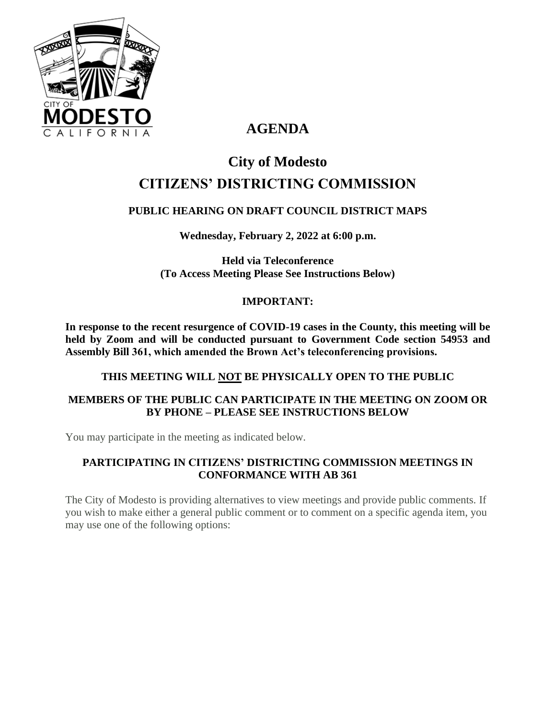

# **AGENDA**

# **City of Modesto CITIZENS' DISTRICTING COMMISSION**

# **PUBLIC HEARING ON DRAFT COUNCIL DISTRICT MAPS**

**Wednesday, February 2, 2022 at 6:00 p.m.**

**Held via Teleconference (To Access Meeting Please See Instructions Below)**

## **IMPORTANT:**

**In response to the recent resurgence of COVID-19 cases in the County, this meeting will be held by Zoom and will be conducted pursuant to Government Code section 54953 and Assembly Bill 361, which amended the Brown Act's teleconferencing provisions.**

#### **THIS MEETING WILL NOT BE PHYSICALLY OPEN TO THE PUBLIC**

## **MEMBERS OF THE PUBLIC CAN PARTICIPATE IN THE MEETING ON ZOOM OR BY PHONE – PLEASE SEE INSTRUCTIONS BELOW**

You may participate in the meeting as indicated below.

## **PARTICIPATING IN CITIZENS' DISTRICTING COMMISSION MEETINGS IN CONFORMANCE WITH AB 361**

The City of Modesto is providing alternatives to view meetings and provide public comments. If you wish to make either a general public comment or to comment on a specific agenda item, you may use one of the following options: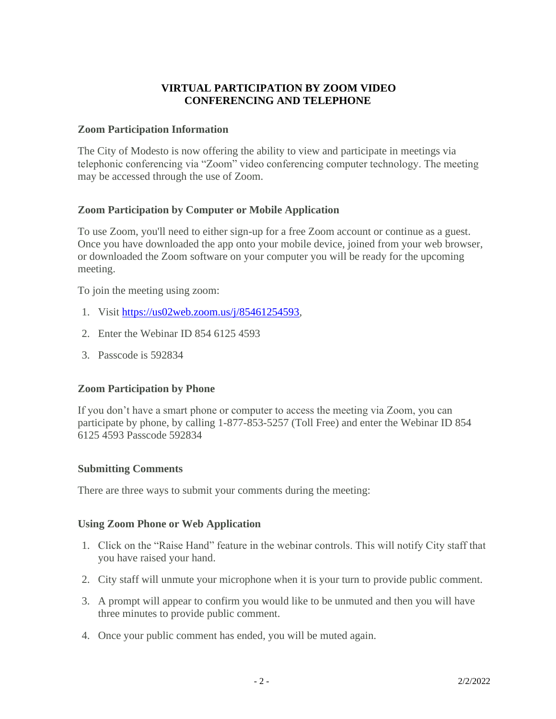#### **VIRTUAL PARTICIPATION BY ZOOM VIDEO CONFERENCING AND TELEPHONE**

#### **Zoom Participation Information**

The City of Modesto is now offering the ability to view and participate in meetings via telephonic conferencing via "Zoom" video conferencing computer technology. The meeting may be accessed through the use of Zoom.

#### **Zoom Participation by Computer or Mobile Application**

To use Zoom, you'll need to either sign-up for a free Zoom account or continue as a guest. Once you have downloaded the app onto your mobile device, joined from your web browser, or downloaded the Zoom software on your computer you will be ready for the upcoming meeting.

To join the meeting using zoom:

- 1. Visit [https://us02web.zoom.us/j/85461254593,](https://us02web.zoom.us/j/85461254593)
- 2. Enter the Webinar ID 854 6125 4593
- 3. Passcode is 592834

#### **Zoom Participation by Phone**

If you don't have a smart phone or computer to access the meeting via Zoom, you can participate by phone, by calling 1-877-853-5257 (Toll Free) and enter the Webinar ID 854 6125 4593 Passcode 592834

#### **Submitting Comments**

There are three ways to submit your comments during the meeting:

#### **Using Zoom Phone or Web Application**

- 1. Click on the "Raise Hand" feature in the webinar controls. This will notify City staff that you have raised your hand.
- 2. City staff will unmute your microphone when it is your turn to provide public comment.
- 3. A prompt will appear to confirm you would like to be unmuted and then you will have three minutes to provide public comment.
- 4. Once your public comment has ended, you will be muted again.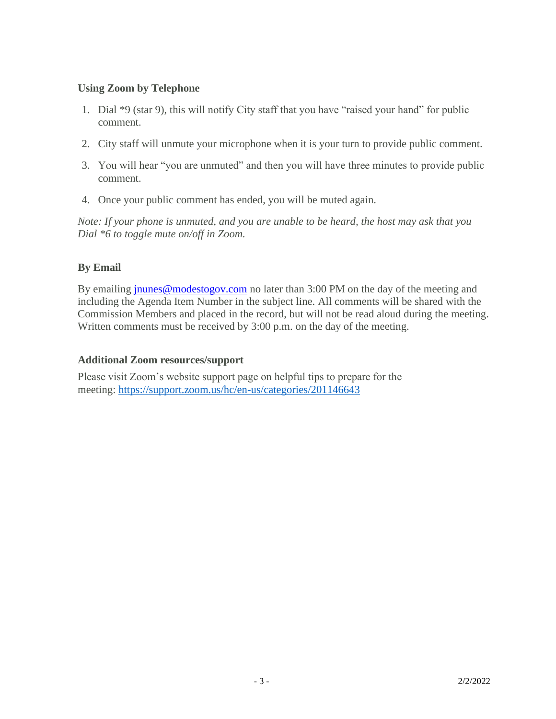#### **Using Zoom by Telephone**

- 1. Dial \*9 (star 9), this will notify City staff that you have "raised your hand" for public comment.
- 2. City staff will unmute your microphone when it is your turn to provide public comment.
- 3. You will hear "you are unmuted" and then you will have three minutes to provide public comment.
- 4. Once your public comment has ended, you will be muted again.

*Note: If your phone is unmuted, and you are unable to be heard, the host may ask that you Dial \*6 to toggle mute on/off in Zoom.*

## **By Email**

By emailing **[jnunes@modestogov.com](mailto:jnunes@modestogov.com)** no later than 3:00 PM on the day of the meeting and including the Agenda Item Number in the subject line. All comments will be shared with the Commission Members and placed in the record, but will not be read aloud during the meeting. Written comments must be received by 3:00 p.m. on the day of the meeting.

#### **Additional Zoom resources/support**

Please visit Zoom's website support page on helpful tips to prepare for the meeting: <https://support.zoom.us/hc/en-us/categories/201146643>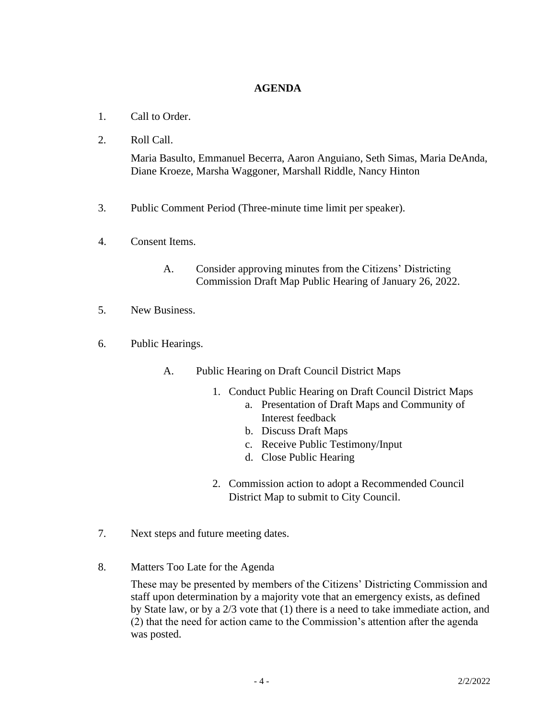#### **AGENDA**

- 1. Call to Order.
- 2. Roll Call.

Maria Basulto, Emmanuel Becerra, Aaron Anguiano, Seth Simas, Maria DeAnda, Diane Kroeze, Marsha Waggoner, Marshall Riddle, Nancy Hinton

- 3. Public Comment Period (Three-minute time limit per speaker).
- 4. Consent Items.
	- A. Consider approving minutes from the Citizens' Districting Commission Draft Map Public Hearing of January 26, 2022.
- 5. New Business.
- 6. Public Hearings.
	- A. Public Hearing on Draft Council District Maps
		- 1. Conduct Public Hearing on Draft Council District Maps
			- a. Presentation of Draft Maps and Community of Interest feedback
			- b. Discuss Draft Maps
			- c. Receive Public Testimony/Input
			- d. Close Public Hearing
		- 2. Commission action to adopt a Recommended Council District Map to submit to City Council.
- 7. Next steps and future meeting dates.
- 8. Matters Too Late for the Agenda

These may be presented by members of the Citizens' Districting Commission and staff upon determination by a majority vote that an emergency exists, as defined by State law, or by a 2/3 vote that (1) there is a need to take immediate action, and (2) that the need for action came to the Commission's attention after the agenda was posted.